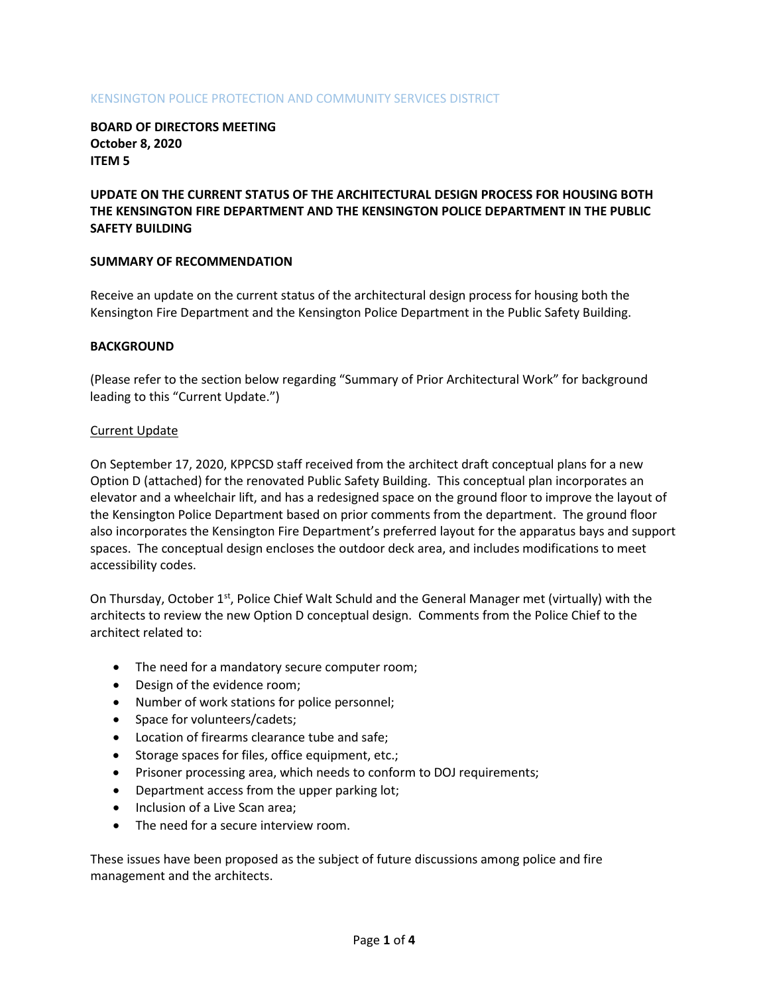## KENSINGTON POLICE PROTECTION AND COMMUNITY SERVICES DISTRICT

**BOARD OF DIRECTORS MEETING October 8, 2020 ITEM 5**

# **UPDATE ON THE CURRENT STATUS OF THE ARCHITECTURAL DESIGN PROCESS FOR HOUSING BOTH THE KENSINGTON FIRE DEPARTMENT AND THE KENSINGTON POLICE DEPARTMENT IN THE PUBLIC SAFETY BUILDING**

### **SUMMARY OF RECOMMENDATION**

Receive an update on the current status of the architectural design process for housing both the Kensington Fire Department and the Kensington Police Department in the Public Safety Building.

### **BACKGROUND**

(Please refer to the section below regarding "Summary of Prior Architectural Work" for background leading to this "Current Update.")

### Current Update

On September 17, 2020, KPPCSD staff received from the architect draft conceptual plans for a new Option D (attached) for the renovated Public Safety Building. This conceptual plan incorporates an elevator and a wheelchair lift, and has a redesigned space on the ground floor to improve the layout of the Kensington Police Department based on prior comments from the department. The ground floor also incorporates the Kensington Fire Department's preferred layout for the apparatus bays and support spaces. The conceptual design encloses the outdoor deck area, and includes modifications to meet accessibility codes.

On Thursday, October  $1<sup>st</sup>$ , Police Chief Walt Schuld and the General Manager met (virtually) with the architects to review the new Option D conceptual design. Comments from the Police Chief to the architect related to:

- The need for a mandatory secure computer room;
- Design of the evidence room;
- Number of work stations for police personnel;
- Space for volunteers/cadets;
- Location of firearms clearance tube and safe;
- Storage spaces for files, office equipment, etc.;
- Prisoner processing area, which needs to conform to DOJ requirements;
- Department access from the upper parking lot;
- Inclusion of a Live Scan area;
- The need for a secure interview room.

These issues have been proposed as the subject of future discussions among police and fire management and the architects.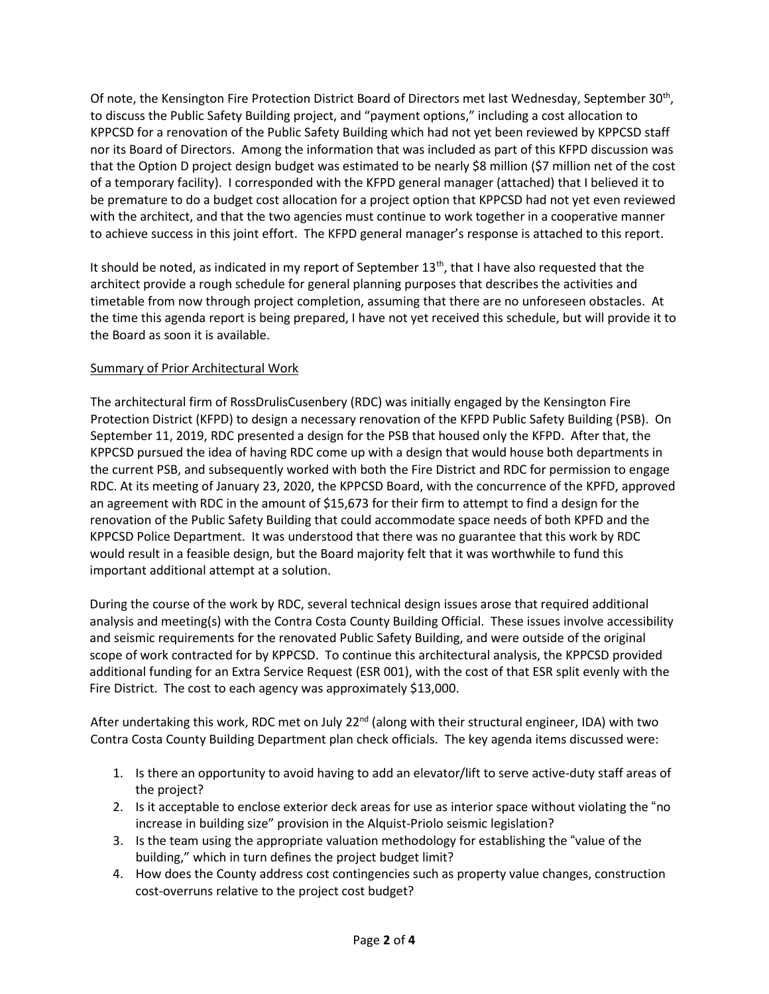Of note, the Kensington Fire Protection District Board of Directors met last Wednesday, September 30<sup>th</sup>, to discuss the Public Safety Building project, and "payment options," including a cost allocation to KPPCSD for a renovation of the Public Safety Building which had not yet been reviewed by KPPCSD staff nor its Board of Directors. Among the information that was included as part of this KFPD discussion was that the Option D project design budget was estimated to be nearly \$8 million (\$7 million net of the cost of a temporary facility). I corresponded with the KFPD general manager (attached) that I believed it to be premature to do a budget cost allocation for a project option that KPPCSD had not yet even reviewed with the architect, and that the two agencies must continue to work together in a cooperative manner to achieve success in this joint effort. The KFPD general manager's response is attached to this report.

It should be noted, as indicated in my report of September  $13<sup>th</sup>$ , that I have also requested that the architect provide a rough schedule for general planning purposes that describes the activities and timetable from now through project completion, assuming that there are no unforeseen obstacles. At the time this agenda report is being prepared, I have not yet received this schedule, but will provide it to the Board as soon it is available.

# Summary of Prior Architectural Work

The architectural firm of RossDrulisCusenbery (RDC) was initially engaged by the Kensington Fire Protection District (KFPD) to design a necessary renovation of the KFPD Public Safety Building (PSB). On September 11, 2019, RDC presented a design for the PSB that housed only the KFPD. After that, the KPPCSD pursued the idea of having RDC come up with a design that would house both departments in the current PSB, and subsequently worked with both the Fire District and RDC for permission to engage RDC. At its meeting of January 23, 2020, the KPPCSD Board, with the concurrence of the KPFD, approved an agreement with RDC in the amount of \$15,673 for their firm to attempt to find a design for the renovation of the Public Safety Building that could accommodate space needs of both KPFD and the KPPCSD Police Department. It was understood that there was no guarantee that this work by RDC would result in a feasible design, but the Board majority felt that it was worthwhile to fund this important additional attempt at a solution.

During the course of the work by RDC, several technical design issues arose that required additional analysis and meeting(s) with the Contra Costa County Building Official. These issues involve accessibility and seismic requirements for the renovated Public Safety Building, and were outside of the original scope of work contracted for by KPPCSD. To continue this architectural analysis, the KPPCSD provided additional funding for an Extra Service Request (ESR 001), with the cost of that ESR split evenly with the Fire District. The cost to each agency was approximately \$13,000.

After undertaking this work, RDC met on July 22<sup>nd</sup> (along with their structural engineer, IDA) with two Contra Costa County Building Department plan check officials. The key agenda items discussed were:

- 1. Is there an opportunity to avoid having to add an elevator/lift to serve active-duty staff areas of the project?
- 2. Is it acceptable to enclose exterior deck areas for use as interior space without violating the "no increase in building size" provision in the Alquist-Priolo seismic legislation?
- 3. Is the team using the appropriate valuation methodology for establishing the "value of the building," which in turn defines the project budget limit?
- 4. How does the County address cost contingencies such as property value changes, construction cost-overruns relative to the project cost budget?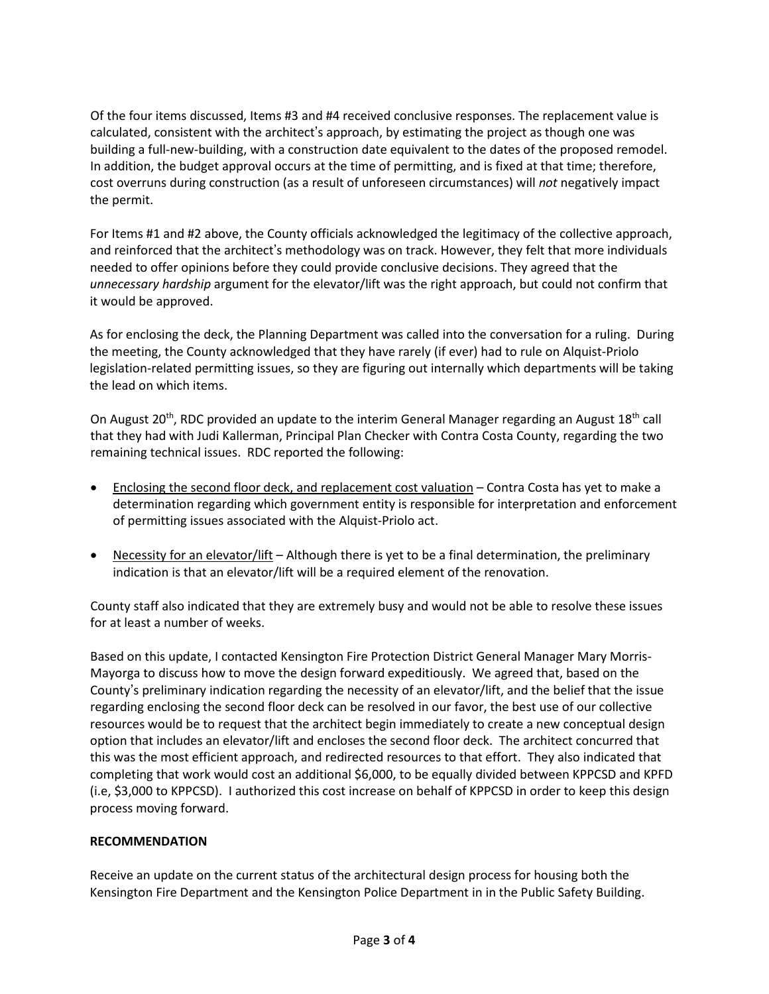Of the four items discussed, Items #3 and #4 received conclusive responses. The replacement value is calculated, consistent with the architect's approach, by estimating the project as though one was building a full-new-building, with a construction date equivalent to the dates of the proposed remodel. In addition, the budget approval occurs at the time of permitting, and is fixed at that time; therefore, cost overruns during construction (as a result of unforeseen circumstances) will *not* negatively impact the permit.

For Items #1 and #2 above, the County officials acknowledged the legitimacy of the collective approach, and reinforced that the architect's methodology was on track. However, they felt that more individuals needed to offer opinions before they could provide conclusive decisions. They agreed that the *unnecessary hardship* argument for the elevator/lift was the right approach, but could not confirm that it would be approved.

As for enclosing the deck, the Planning Department was called into the conversation for a ruling. During the meeting, the County acknowledged that they have rarely (if ever) had to rule on Alquist-Priolo legislation-related permitting issues, so they are figuring out internally which departments will be taking the lead on which items.

On August 20<sup>th</sup>, RDC provided an update to the interim General Manager regarding an August 18<sup>th</sup> call that they had with Judi Kallerman, Principal Plan Checker with Contra Costa County, regarding the two remaining technical issues. RDC reported the following:

- Enclosing the second floor deck, and replacement cost valuation Contra Costa has yet to make a determination regarding which government entity is responsible for interpretation and enforcement of permitting issues associated with the Alquist-Priolo act.
- Necessity for an elevator/lift Although there is yet to be a final determination, the preliminary indication is that an elevator/lift will be a required element of the renovation.

County staff also indicated that they are extremely busy and would not be able to resolve these issues for at least a number of weeks.

Based on this update, I contacted Kensington Fire Protection District General Manager Mary Morris-Mayorga to discuss how to move the design forward expeditiously. We agreed that, based on the County's preliminary indication regarding the necessity of an elevator/lift, and the belief that the issue regarding enclosing the second floor deck can be resolved in our favor, the best use of our collective resources would be to request that the architect begin immediately to create a new conceptual design option that includes an elevator/lift and encloses the second floor deck. The architect concurred that this was the most efficient approach, and redirected resources to that effort. They also indicated that completing that work would cost an additional \$6,000, to be equally divided between KPPCSD and KPFD (i.e, \$3,000 to KPPCSD). I authorized this cost increase on behalf of KPPCSD in order to keep this design process moving forward.

## **RECOMMENDATION**

Receive an update on the current status of the architectural design process for housing both the Kensington Fire Department and the Kensington Police Department in in the Public Safety Building.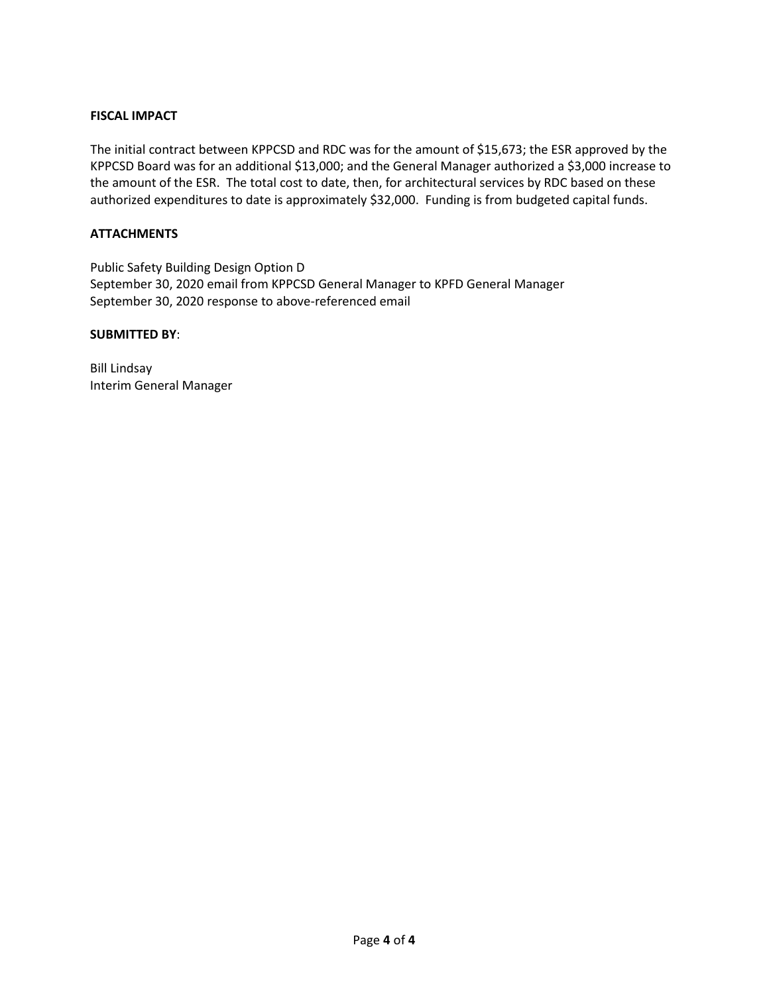## **FISCAL IMPACT**

The initial contract between KPPCSD and RDC was for the amount of \$15,673; the ESR approved by the KPPCSD Board was for an additional \$13,000; and the General Manager authorized a \$3,000 increase to the amount of the ESR. The total cost to date, then, for architectural services by RDC based on these authorized expenditures to date is approximately \$32,000. Funding is from budgeted capital funds.

#### **ATTACHMENTS**

Public Safety Building Design Option D September 30, 2020 email from KPPCSD General Manager to KPFD General Manager September 30, 2020 response to above-referenced email

#### **SUBMITTED BY**:

Bill Lindsay Interim General Manager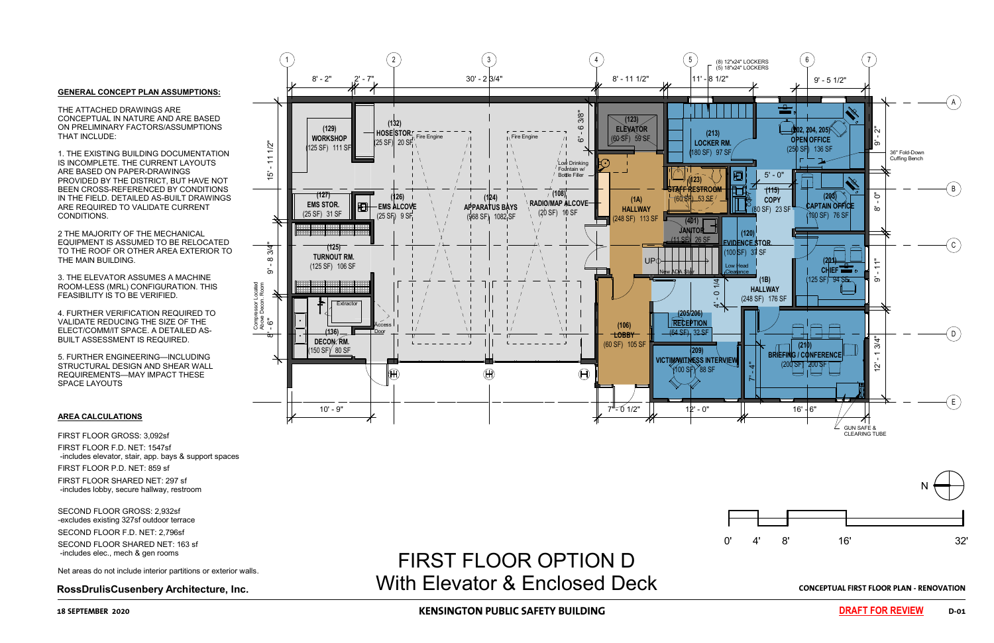

**RossDrulisCusenbery Architecture, Inc. CONCEPTUAL FIRST FLOOR PLAN - RENOVATION** With Elevator & Enclosed Deck FIRST FLOOR OPTION D

# **18 SEPTEMBER 2020 KENSINGTON PUBLIC SAFETY BUILDING D-01**

#### **AREA CALCULATIONS**

FIRST FLOOR GROSS: 3,092sf FIRST FLOOR F.D. NET: 1547sf -includes elevator, stair, app. bays & support spaces FIRST FLOOR P.D. NET: 859 sf FIRST FLOOR SHARED NET: 297 sf -includes lobby, secure hallway, restroom

SECOND FLOOR GROSS: 2,932sf -excludes existing 327sf outdoor terrace SECOND FLOOR F.D. NET: 2,796sf SECOND FLOOR SHARED NET: 163 sf -includes elec., mech & gen rooms

Net areas do not include interior partitions or exterior walls.

#### **GENERAL CONCEPT PLAN ASSUMPTIONS:**

THE ATTACHED DRAWINGS ARE CONCEPTUAL IN NATURE AND ARE BASED ON PRELIMINARY FACTORS/ASSUMPTIONS THAT INCLUDE:

1. THE EXISTING BUILDING DOCUMENTATION IS INCOMPLETE. THE CURRENT LAYOUTS ARE BASED ON PAPER-DRAWINGS PROVIDED BY THE DISTRICT, BUT HAVE NOT BEEN CROSS-REFERENCED BY CONDITIONS IN THE FIELD. DETAILED AS-BUILT DRAWINGS ARE REQUIRED TO VALIDATE CURRENT CONDITIONS.

2 THE MAJORITY OF THE MECHANICAL EQUIPMENT IS ASSUMED TO BE RELOCATED TO THE ROOF OR OTHER AREA EXTERIOR TO THE MAIN BUILDING.

3. THE ELEVATOR ASSUMES A MACHINE ROOM-LESS (MRL) CONFIGURATION. THIS FEASIBILITY IS TO BE VERIFIED.

4. FURTHER VERIFICATION REQUIRED TO VALIDATE REDUCING THE SIZE OF THE ELECT/COMM/IT SPACE. A DETAILED AS-BUILT ASSESSMENT IS REQUIRED.

5. FURTHER ENGINEERING—INCLUDING STRUCTURAL DESIGN AND SHEAR WALL REQUIREMENTS—MAY IMPACT THESE SPACE LAYOUTS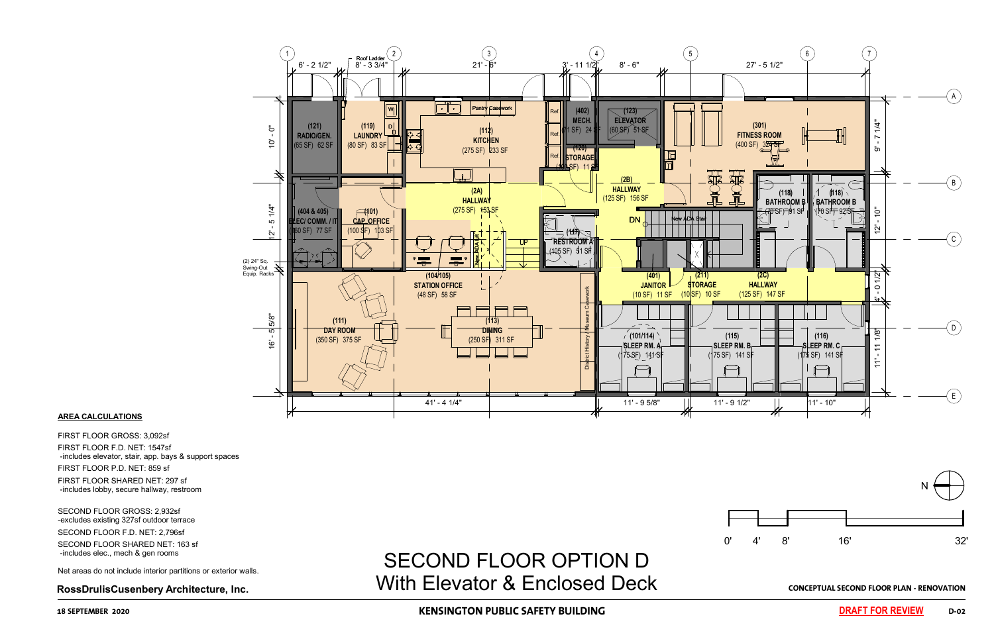

# **RossDrulisCusenbery Architecture, Inc. CONCEPTUAL SECOND FLOOR PLAN - RENOVATION** With Elevator & Enclosed DeckFincludes elec., mech & gen rooms<br>Net areas do not include interior partitions or exterior walls. SECOND FLOOR OPTION D

# **18 SEPTEMBER 2020 KENSINGTON PUBLIC SAFETY BUILDING D-02**



### **AREA CALCULATIONS**

FIRST FLOOR GROSS: 3,092sf FIRST FLOOR F.D. NET: 1547sf -includes elevator, stair, app. bays & support spaces FIRST FLOOR P.D. NET: 859 sf FIRST FLOOR SHARED NET: 297 sf -includes lobby, secure hallway, restroom

SECOND FLOOR GROSS: 2,932sf -excludes existing 327sf outdoor terrace SECOND FLOOR F.D. NET: 2,796sf SECOND FLOOR SHARED NET: 163 sf -includes elec., mech & gen rooms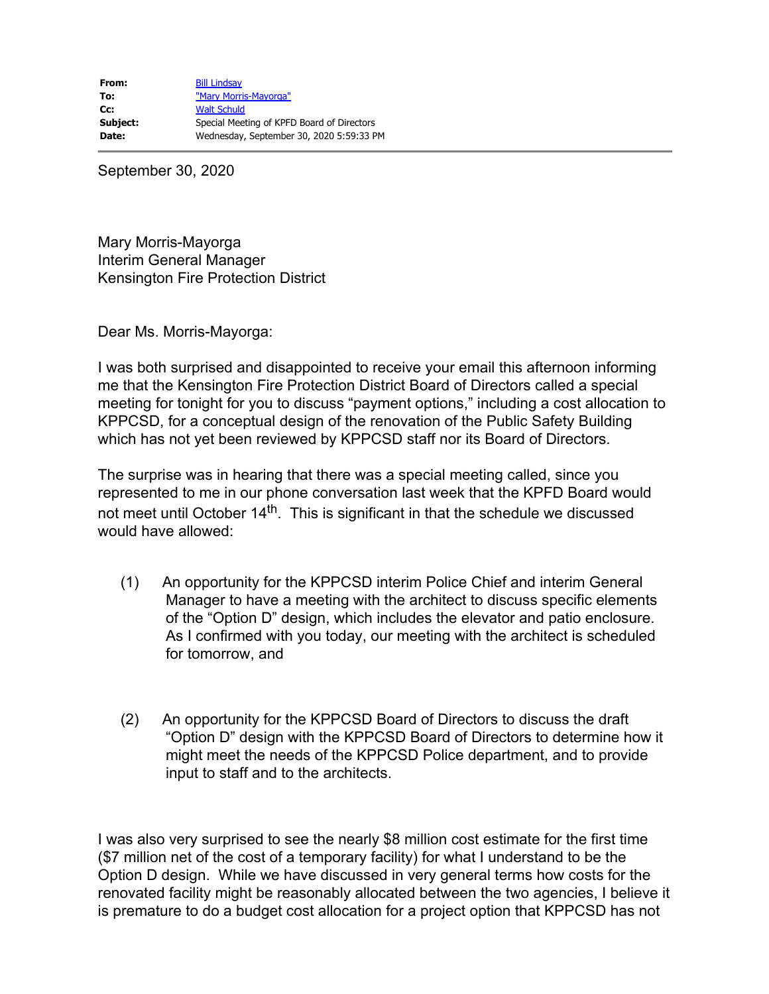September 30, 2020

Mary Morris-Mayorga Interim General Manager Kensington Fire Protection District

Dear Ms. Morris-Mayorga:

I was both surprised and disappointed to receive your email this afternoon informing me that the Kensington Fire Protection District Board of Directors called a special meeting for tonight for you to discuss "payment options," including a cost allocation to KPPCSD, for a conceptual design of the renovation of the Public Safety Building which has not yet been reviewed by KPPCSD staff nor its Board of Directors.

The surprise was in hearing that there was a special meeting called, since you represented to me in our phone conversation last week that the KPFD Board would not meet until October  $14<sup>th</sup>$ . This is significant in that the schedule we discussed would have allowed:

- (1) An opportunity for the KPPCSD interim Police Chief and interim General Manager to have a meeting with the architect to discuss specific elements of the "Option D" design, which includes the elevator and patio enclosure. As I confirmed with you today, our meeting with the architect is scheduled for tomorrow, and
- (2) An opportunity for the KPPCSD Board of Directors to discuss the draft "Option D" design with the KPPCSD Board of Directors to determine how it might meet the needs of the KPPCSD Police department, and to provide input to staff and to the architects.

I was also very surprised to see the nearly \$8 million cost estimate for the first time (\$7 million net of the cost of a temporary facility) for what I understand to be the Option D design. While we have discussed in very general terms how costs for the renovated facility might be reasonably allocated between the two agencies, I believe it is premature to do a budget cost allocation for a project option that KPPCSD has not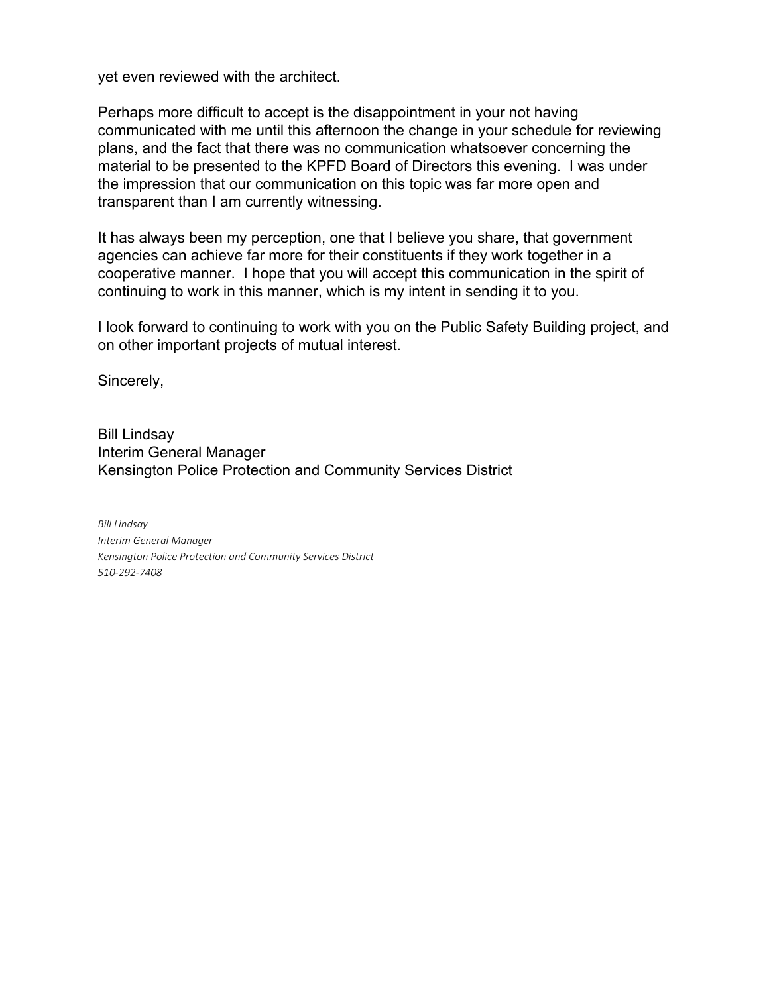yet even reviewed with the architect.

Perhaps more difficult to accept is the disappointment in your not having communicated with me until this afternoon the change in your schedule for reviewing plans, and the fact that there was no communication whatsoever concerning the material to be presented to the KPFD Board of Directors this evening. I was under the impression that our communication on this topic was far more open and transparent than I am currently witnessing.

It has always been my perception, one that I believe you share, that government agencies can achieve far more for their constituents if they work together in a cooperative manner. I hope that you will accept this communication in the spirit of continuing to work in this manner, which is my intent in sending it to you.

I look forward to continuing to work with you on the Public Safety Building project, and on other important projects of mutual interest.

Sincerely,

Bill Lindsay Interim General Manager Kensington Police Protection and Community Services District

*Bill Lindsay Interim General Manager Kensington Police Protection and Community Services District 510-292-7408*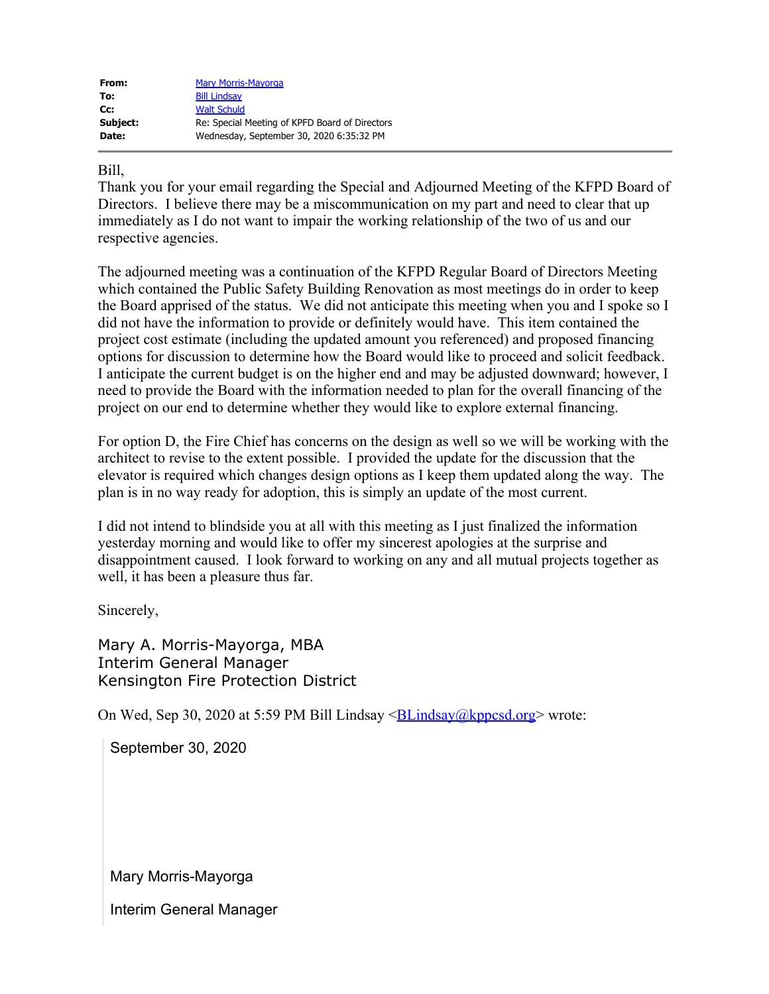| From:    | <b>Mary Morris-Mayorga</b>                     |
|----------|------------------------------------------------|
| To:      | <b>Bill Lindsay</b>                            |
| Cc:      | <b>Walt Schuld</b>                             |
| Subject: | Re: Special Meeting of KPFD Board of Directors |
| Date:    | Wednesday, September 30, 2020 6:35:32 PM       |

# Bill,

Thank you for your email regarding the Special and Adjourned Meeting of the KFPD Board of Directors. I believe there may be a miscommunication on my part and need to clear that up immediately as I do not want to impair the working relationship of the two of us and our respective agencies.

The adjourned meeting was a continuation of the KFPD Regular Board of Directors Meeting which contained the Public Safety Building Renovation as most meetings do in order to keep the Board apprised of the status. We did not anticipate this meeting when you and I spoke so I did not have the information to provide or definitely would have. This item contained the project cost estimate (including the updated amount you referenced) and proposed financing options for discussion to determine how the Board would like to proceed and solicit feedback. I anticipate the current budget is on the higher end and may be adjusted downward; however, I need to provide the Board with the information needed to plan for the overall financing of the project on our end to determine whether they would like to explore external financing.

For option D, the Fire Chief has concerns on the design as well so we will be working with the architect to revise to the extent possible. I provided the update for the discussion that the elevator is required which changes design options as I keep them updated along the way. The plan is in no way ready for adoption, this is simply an update of the most current.

I did not intend to blindside you at all with this meeting as I just finalized the information yesterday morning and would like to offer my sincerest apologies at the surprise and disappointment caused. I look forward to working on any and all mutual projects together as well, it has been a pleasure thus far.

Sincerely,

Mary A. Morris-Mayorga, MBA Interim General Manager Kensington Fire Protection District

On Wed, Sep 30, 2020 at 5:59 PM Bill Lindsay  $\leq$ BLindsay @kppcsd.org> wrote:

September 30, 2020

Mary Morris-Mayorga

Interim General Manager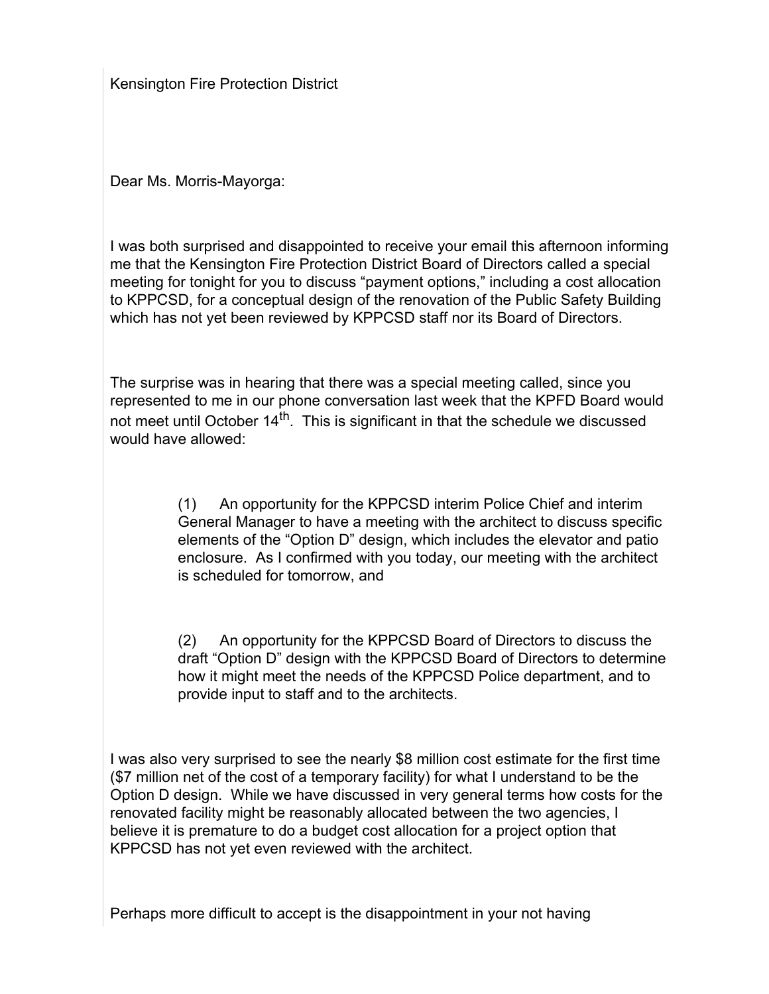Kensington Fire Protection District

Dear Ms. Morris-Mayorga:

I was both surprised and disappointed to receive your email this afternoon informing me that the Kensington Fire Protection District Board of Directors called a special meeting for tonight for you to discuss "payment options," including a cost allocation to KPPCSD, for a conceptual design of the renovation of the Public Safety Building which has not yet been reviewed by KPPCSD staff nor its Board of Directors.

The surprise was in hearing that there was a special meeting called, since you represented to me in our phone conversation last week that the KPFD Board would not meet until October  $14<sup>th</sup>$ . This is significant in that the schedule we discussed would have allowed:

> (1) An opportunity for the KPPCSD interim Police Chief and interim General Manager to have a meeting with the architect to discuss specific elements of the "Option D" design, which includes the elevator and patio enclosure. As I confirmed with you today, our meeting with the architect is scheduled for tomorrow, and

> (2) An opportunity for the KPPCSD Board of Directors to discuss the draft "Option D" design with the KPPCSD Board of Directors to determine how it might meet the needs of the KPPCSD Police department, and to provide input to staff and to the architects.

I was also very surprised to see the nearly \$8 million cost estimate for the first time (\$7 million net of the cost of a temporary facility) for what I understand to be the Option D design. While we have discussed in very general terms how costs for the renovated facility might be reasonably allocated between the two agencies, I believe it is premature to do a budget cost allocation for a project option that KPPCSD has not yet even reviewed with the architect.

Perhaps more difficult to accept is the disappointment in your not having